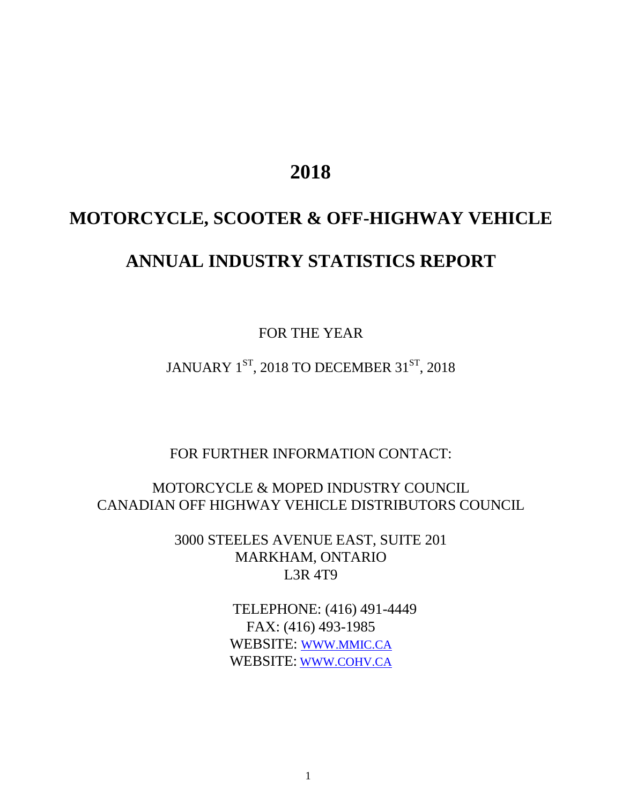# **2018**

# **MOTORCYCLE, SCOOTER & OFF-HIGHWAY VEHICLE ANNUAL INDUSTRY STATISTICS REPORT**

FOR THE YEAR

JANUARY  $1^\mathrm{ST}$ , 2018 TO DECEMBER 3 $1^\mathrm{ST}$ , 2018

FOR FURTHER INFORMATION CONTACT:

MOTORCYCLE & MOPED INDUSTRY COUNCIL CANADIAN OFF HIGHWAY VEHICLE DISTRIBUTORS COUNCIL

> 3000 STEELES AVENUE EAST, SUITE 201 MARKHAM, ONTARIO L3R 4T9

> > TELEPHONE: (416) 491-4449 FAX: (416) 493-1985 WEBSITE: [WWW.MMIC.CA](http://www.mmic.ca/) WEBSITE: [WWW.COHV.CA](http://www.cohv.ca/)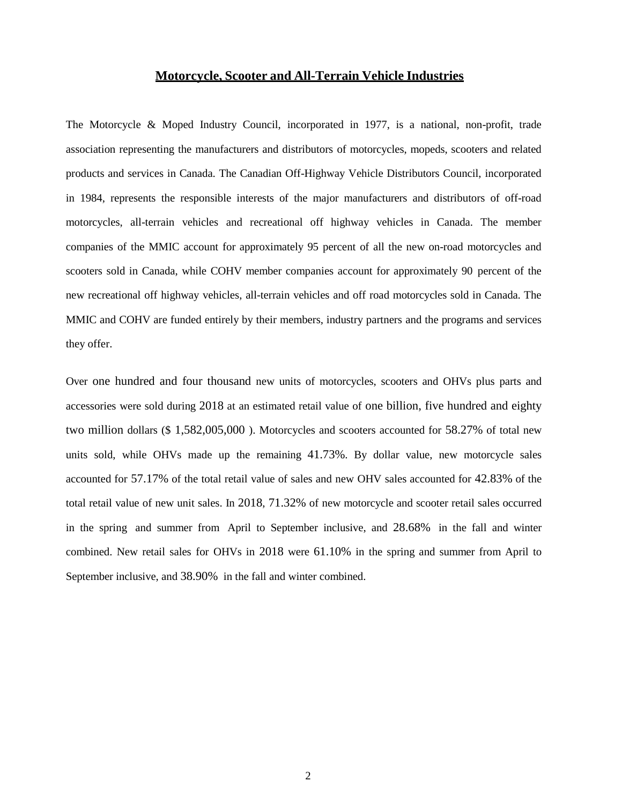### **Motorcycle, Scooter and All-Terrain Vehicle Industries**

The Motorcycle & Moped Industry Council, incorporated in 1977, is a national, non-profit, trade association representing the manufacturers and distributors of motorcycles, mopeds, scooters and related products and services in Canada. The Canadian Off-Highway Vehicle Distributors Council, incorporated in 1984, represents the responsible interests of the major manufacturers and distributors of off-road motorcycles, all-terrain vehicles and recreational off highway vehicles in Canada. The member companies of the MMIC account for approximately 95 percent of all the new on-road motorcycles and scooters sold in Canada, while COHV member companies account for approximately 90 percent of the new recreational off highway vehicles, all-terrain vehicles and off road motorcycles sold in Canada. The MMIC and COHV are funded entirely by their members, industry partners and the programs and services they offer.

Over one hundred and four thousand new units of motorcycles, scooters and OHVs plus parts and accessories were sold during 2018 at an estimated retail value of one billion, five hundred and eighty two million dollars (\$ 1,582,005,000 ). Motorcycles and scooters accounted for 58.27% of total new units sold, while OHVs made up the remaining 41.73%. By dollar value, new motorcycle sales accounted for 57.17% of the total retail value of sales and new OHV sales accounted for 42.83% of the total retail value of new unit sales. In 2018, 71.32% of new motorcycle and scooter retail sales occurred in the spring and summer from April to September inclusive, and 28.68% in the fall and winter combined. New retail sales for OHVs in 2018 were 61.10% in the spring and summer from April to September inclusive, and 38.90% in the fall and winter combined.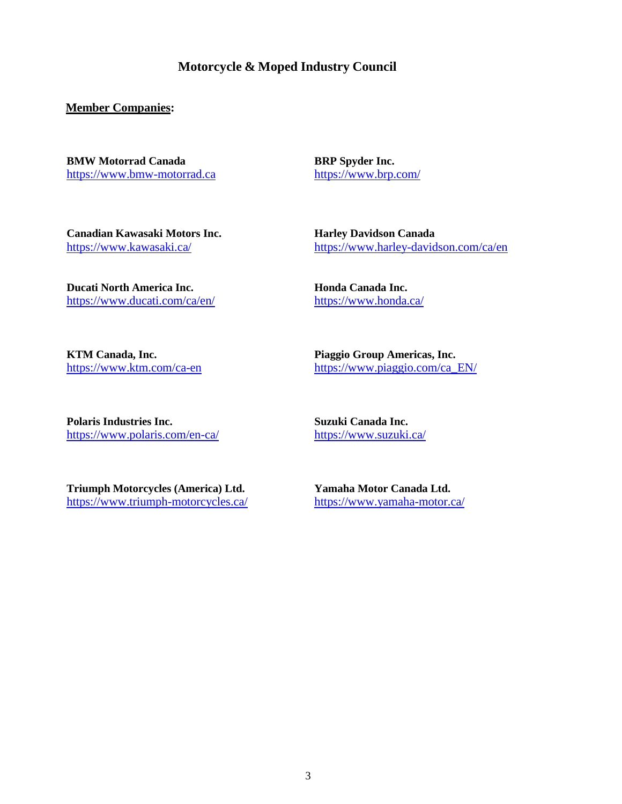**Motorcycle & Moped Industry Council**

**Member Companies:**

**BMW Motorrad Canada** [https://www.bmw-motorrad.ca](https://www.bmw-motorrad.ca/) **BRP Spyder Inc.** <https://www.brp.com/>

**Canadian Kawasaki Motors Inc.** <https://www.kawasaki.ca/>

**Harley Davidson Canada** <https://www.harley-davidson.com/ca/en>

**Ducati North America Inc.** <https://www.ducati.com/ca/en/> **Honda Canada Inc.** <https://www.honda.ca/>

**KTM Canada, Inc.** <https://www.ktm.com/ca-en> **Piaggio Group Americas, Inc.** [https://www.piaggio.com/ca\\_EN/](https://www.piaggio.com/ca_EN/)

**Polaris Industries Inc.** <https://www.polaris.com/en-ca/> **Suzuki Canada Inc.** <https://www.suzuki.ca/>

**Triumph Motorcycles (America) Ltd.** <https://www.triumph-motorcycles.ca/> **Yamaha Motor Canada Ltd.** <https://www.yamaha-motor.ca/>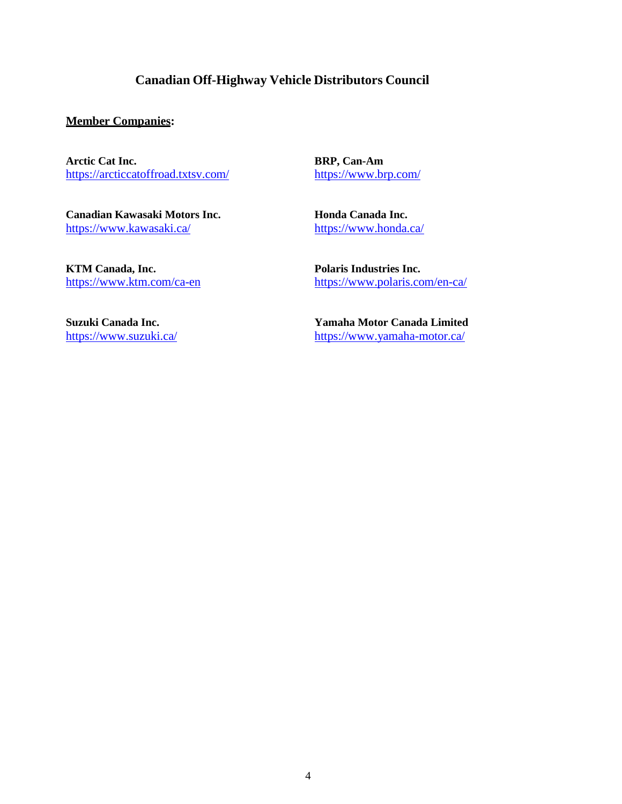# **Canadian Off-Highway Vehicle Distributors Council**

### **Member Companies:**

**Arctic Cat Inc.** <https://arcticcatoffroad.txtsv.com/>

**Canadian Kawasaki Motors Inc.** <https://www.kawasaki.ca/>

**BRP, Can-Am** <https://www.brp.com/>

**Honda Canada Inc.** <https://www.honda.ca/>

**Polaris Industries Inc.**

**KTM Canada, Inc.** <https://www.ktm.com/ca-en>

> **Yamaha Motor Canada Limited** <https://www.yamaha-motor.ca/>

> <https://www.polaris.com/en-ca/>

**Suzuki Canada Inc.** <https://www.suzuki.ca/>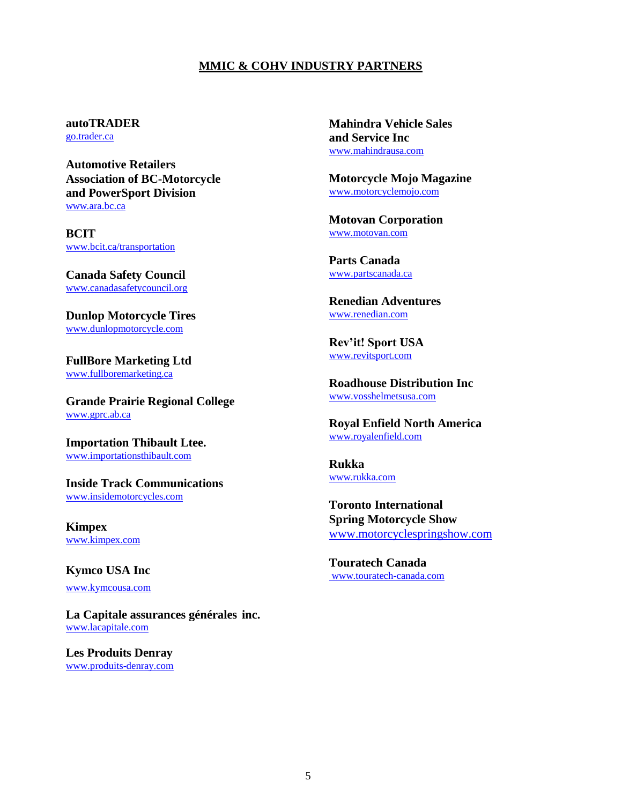### **MMIC & COHV INDUSTRY PARTNERS**

### **autoTRADER**

[go.trader.ca](http://go.trader.ca/)

**Automotive Retailers Association of BC-Motorcycle and PowerSport Division** [www.ara.bc.ca](http://www.ara.bc.ca/)

**BCIT** [www.bcit.ca/transportation](http://www.bcit.ca/transportation)

**Canada Safety Council** [www.canadasafetycouncil.org](http://www.canadasafetycouncil.org/)

**Dunlop Motorcycle Tires** [www.dunlopmotorcycle.com](http://www.dunlopmotorcycle.com/)

**FullBore Marketing Ltd** [www.fullboremarketing.ca](http://www.fullboremarketing.ca/)

**Grande Prairie Regional College** [www.gprc.ab.ca](http://www.gprc.ab.ca/)

**Importation Thibault Ltee.** [www.importationsthibault.com](http://www.importationsthibault.com/)

**Inside Track Communications** [www.insidemotorcycles.com](http://www.insidemotorcycles.com/)

**Kimpex** [www.kimpex.com](http://www.kimpex.com/)

**Kymco USA Inc** [www.kymcousa.com](https://www.kymcousa.com/)

**La Capitale assurances générales inc.** [www.lacapitale.com](http://www.lacapitale.com/)

**Les Produits Denray** [www.produits-denray.com](http://www.produits-denray.com/) **Mahindra Vehicle Sales and Service Inc**  [www.mahindrausa.com](https://www.mahindrausa.com/)

**Motorcycle Mojo Magazine** [www.motorcyclemojo.com](http://www.motorcyclemojo.com/)

**Motovan Corporation** [www.motovan.com](http://www.motovan.com/)

**Parts Canada** [www.partscanada.ca](http://www.partscanada.ca/)

**Renedian Adventures** [www.renedian.com](http://www.renedian.com/)

**Rev'it! Sport USA** [www.revitsport.com](http://www.revitsport.com/)

**Roadhouse Distribution Inc** [www.vosshelmetsusa.com](https://www.vosshelmetsusa.com/)

**Royal Enfield North America** [www.royalenfield.com](http://www.royalenfield.com/)

**Rukka** [www.rukka.com](http://www.rukka.com/)

**Toronto International Spring Motorcycle Show** [www.motorcyclespringshow.com](http://www.motorcyclespringshow.com/)

**Touratech Canada** [www.touratech-canada.com](http://www.touratech-canada.com/)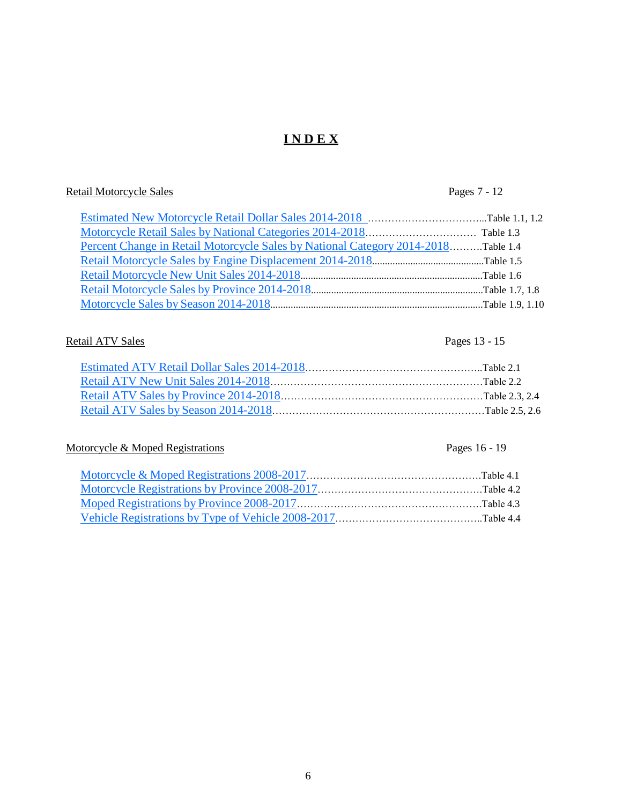# **I N D E X**

# Retail Motorcycle Sales Pages 7 - 12

| Percent Change in Retail Motorcycle Sales by National Category 2014-2018Table 1.4 |  |
|-----------------------------------------------------------------------------------|--|
|                                                                                   |  |
|                                                                                   |  |
|                                                                                   |  |
|                                                                                   |  |

# Retail ATV Sales Pages 13 - 15

# Motorcycle & Moped Registrations Pages 16 - 19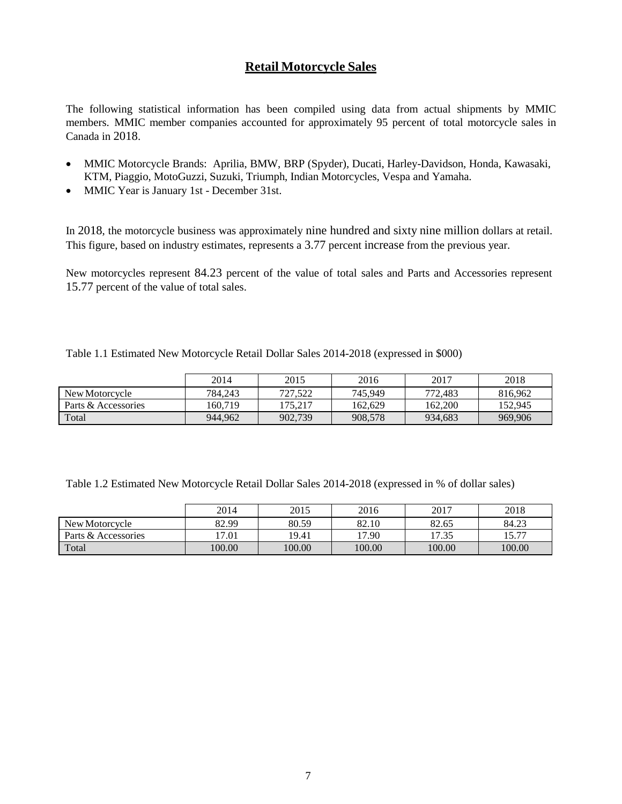# **Retail Motorcycle Sales**

The following statistical information has been compiled using data from actual shipments by MMIC members. MMIC member companies accounted for approximately 95 percent of total motorcycle sales in Canada in 2018.

- MMIC Motorcycle Brands: Aprilia, BMW, BRP (Spyder), Ducati, Harley-Davidson, Honda, Kawasaki, KTM, Piaggio, MotoGuzzi, Suzuki, Triumph, Indian Motorcycles, Vespa and Yamaha.
- MMIC Year is January 1st December 31st.

In 2018, the motorcycle business was approximately nine hundred and sixty nine million dollars at retail. This figure, based on industry estimates, represents a 3.77 percent increase from the previous year.

New motorcycles represent 84.23 percent of the value of total sales and Parts and Accessories represent 15.77 percent of the value of total sales.

<span id="page-6-0"></span>Table 1.1 Estimated New Motorcycle Retail Dollar Sales 2014-2018 (expressed in \$000)

|                     | 2014    | 2015    | 2016    | 2017    | 2018    |
|---------------------|---------|---------|---------|---------|---------|
| New Motorcycle      | 784.243 | 727.522 | 745.949 | 772,483 | 816.962 |
| Parts & Accessories | 160.719 | 175.217 | 162.629 | 162,200 | 152.945 |
| Total               | 944.962 | 902.739 | 908,578 | 934.683 | 969,906 |

Table 1.2 Estimated New Motorcycle Retail Dollar Sales 2014-2018 (expressed in % of dollar sales)

|                     | 2014   | 2015   | 2016   | 2017   | 2018          |
|---------------------|--------|--------|--------|--------|---------------|
| New Motorcycle      | 82.99  | 80.59  | 82.10  | 82.65  | 84.23         |
| Parts & Accessories | 17.01  | 19.41  | 17.90  | 17.35  | IS ワワ<br>17.1 |
| Total               | 100.00 | 100.00 | 100.00 | 100.00 | 100.00        |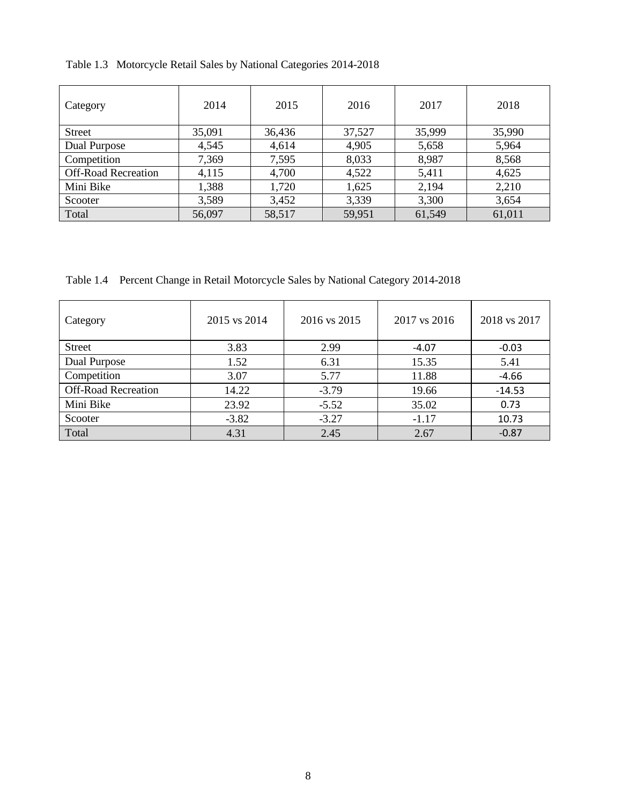| Category                   | 2014   | 2015   | 2016   | 2017   | 2018   |
|----------------------------|--------|--------|--------|--------|--------|
| <b>Street</b>              | 35,091 | 36,436 | 37,527 | 35,999 | 35,990 |
| Dual Purpose               | 4,545  | 4,614  | 4,905  | 5,658  | 5,964  |
| Competition                | 7,369  | 7,595  | 8,033  | 8,987  | 8,568  |
| <b>Off-Road Recreation</b> | 4,115  | 4,700  | 4,522  | 5,411  | 4,625  |
| Mini Bike                  | 1,388  | 1,720  | 1,625  | 2,194  | 2,210  |
| Scooter                    | 3,589  | 3,452  | 3,339  | 3,300  | 3,654  |
| Total                      | 56,097 | 58,517 | 59,951 | 61,549 | 61,011 |

<span id="page-7-0"></span>Table 1.3 Motorcycle Retail Sales by National Categories 2014-2018

<span id="page-7-1"></span>Table 1.4 Percent Change in Retail Motorcycle Sales by National Category 2014-2018

| Category                   | 2015 vs 2014 | 2016 vs 2015 | 2017 vs 2016 | 2018 vs 2017 |
|----------------------------|--------------|--------------|--------------|--------------|
| <b>Street</b>              | 3.83         | 2.99         | $-4.07$      | $-0.03$      |
| Dual Purpose               | 1.52         | 6.31         | 15.35        | 5.41         |
| Competition                | 3.07         | 5.77         | 11.88        | $-4.66$      |
| <b>Off-Road Recreation</b> | 14.22        | $-3.79$      | 19.66        | $-14.53$     |
| Mini Bike                  | 23.92        | $-5.52$      | 35.02        | 0.73         |
| Scooter                    | $-3.82$      | $-3.27$      | $-1.17$      | 10.73        |
| Total                      | 4.31         | 2.45         | 2.67         | $-0.87$      |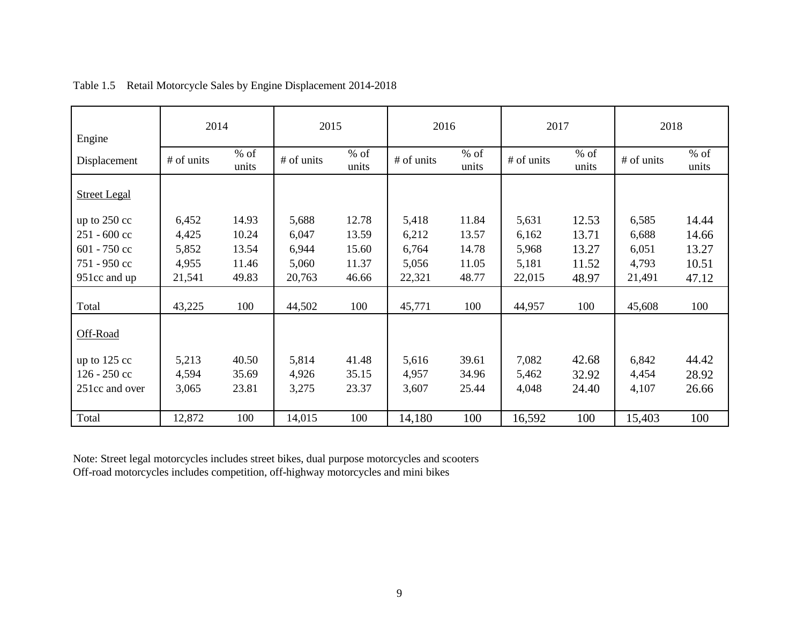<span id="page-8-0"></span>

| Engine              | 2014       |                 | 2015       |                 | 2016       |                 | 2017       |                 | 2018       |                 |
|---------------------|------------|-----------------|------------|-----------------|------------|-----------------|------------|-----------------|------------|-----------------|
| Displacement        | # of units | $%$ of<br>units | # of units | $%$ of<br>units | # of units | $%$ of<br>units | # of units | $%$ of<br>units | # of units | $%$ of<br>units |
| <b>Street Legal</b> |            |                 |            |                 |            |                 |            |                 |            |                 |
| up to $250$ cc      | 6,452      | 14.93           | 5,688      | 12.78           | 5,418      | 11.84           | 5,631      | 12.53           | 6,585      | 14.44           |
| 251 - 600 cc        | 4,425      | 10.24           | 6,047      | 13.59           | 6,212      | 13.57           | 6,162      | 13.71           | 6,688      | 14.66           |
| $601 - 750$ cc      | 5,852      | 13.54           | 6,944      | 15.60           | 6,764      | 14.78           | 5,968      | 13.27           | 6,051      | 13.27           |
| 751 - 950 cc        | 4,955      | 11.46           | 5,060      | 11.37           | 5,056      | 11.05           | 5,181      | 11.52           | 4,793      | 10.51           |
| 951cc and up        | 21,541     | 49.83           | 20,763     | 46.66           | 22,321     | 48.77           | 22,015     | 48.97           | 21,491     | 47.12           |
| Total               | 43,225     | 100             | 44,502     | 100             | 45,771     | 100             | 44,957     | 100             | 45,608     | 100             |
| Off-Road            |            |                 |            |                 |            |                 |            |                 |            |                 |
| up to $125$ cc      | 5,213      | 40.50           | 5,814      | 41.48           | 5,616      | 39.61           | 7,082      | 42.68           | 6,842      | 44.42           |
| 126 - 250 cc        | 4,594      | 35.69           | 4,926      | 35.15           | 4,957      | 34.96           | 5,462      | 32.92           | 4,454      | 28.92           |
| 251cc and over      | 3,065      | 23.81           | 3,275      | 23.37           | 3,607      | 25.44           | 4,048      | 24.40           | 4,107      | 26.66           |
|                     |            |                 |            |                 |            |                 |            |                 |            |                 |
| Total               | 12,872     | 100             | 14,015     | 100             | 14,180     | 100             | 16,592     | 100             | 15,403     | 100             |

# Table 1.5 Retail Motorcycle Sales by Engine Displacement 2014-2018

Note: Street legal motorcycles includes street bikes, dual purpose motorcycles and scooters Off-road motorcycles includes competition, off-highway motorcycles and mini bikes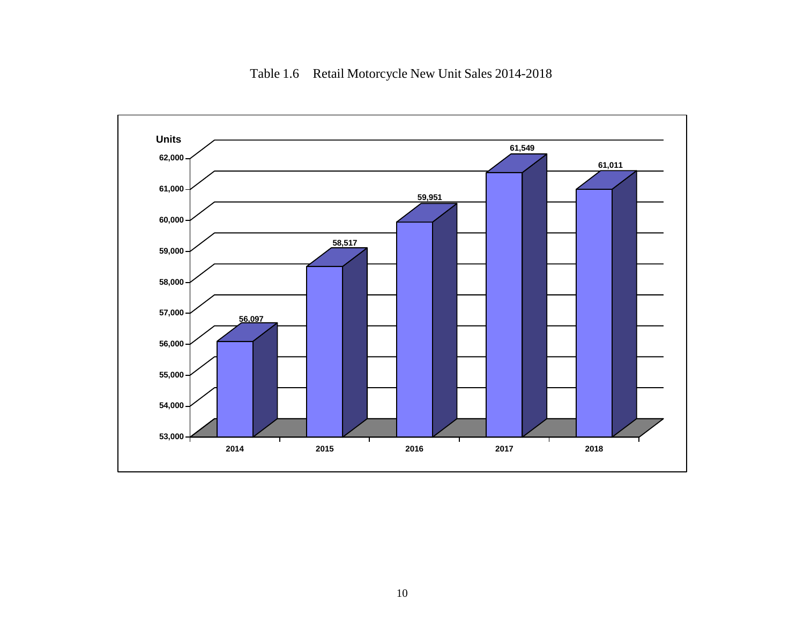<span id="page-9-0"></span>

Table 1.6 Retail Motorcycle New Unit Sales 2014-2018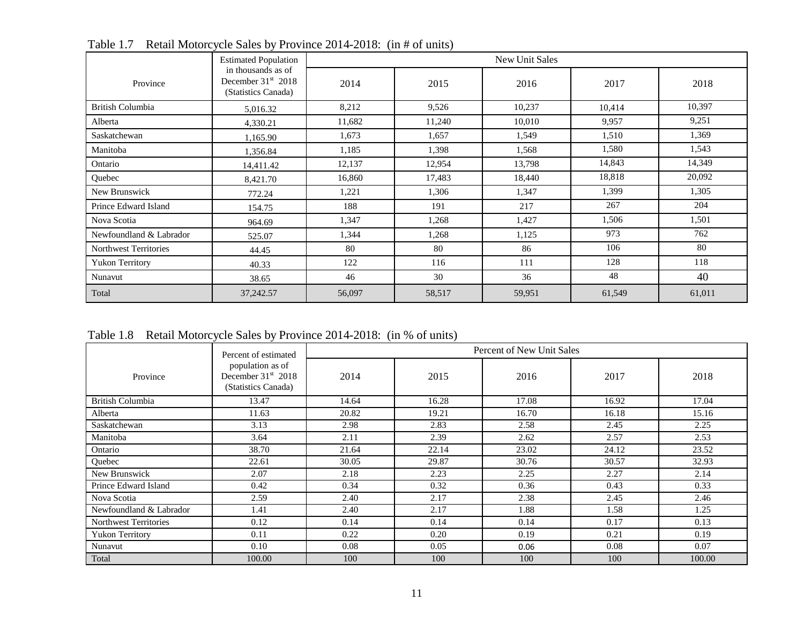|                              | <b>Estimated Population</b>                                       |        | <b>New Unit Sales</b> |        |        |        |  |  |
|------------------------------|-------------------------------------------------------------------|--------|-----------------------|--------|--------|--------|--|--|
| Province                     | in thousands as of<br>December $31st$ 2018<br>(Statistics Canada) | 2014   | 2015                  | 2016   | 2017   | 2018   |  |  |
| <b>British Columbia</b>      | 5,016.32                                                          | 8,212  | 9,526                 | 10,237 | 10,414 | 10,397 |  |  |
| Alberta                      | 4,330.21                                                          | 11,682 | 11,240                | 10,010 | 9,957  | 9,251  |  |  |
| Saskatchewan                 | 1,165.90                                                          | 1,673  | 1,657                 | 1,549  | 1,510  | 1,369  |  |  |
| Manitoba                     | 1,356.84                                                          | 1,185  | 1,398                 | 1,568  | 1,580  | 1,543  |  |  |
| Ontario                      | 14,411.42                                                         | 12,137 | 12,954                | 13,798 | 14,843 | 14,349 |  |  |
| Quebec                       | 8,421.70                                                          | 16,860 | 17,483                | 18,440 | 18,818 | 20,092 |  |  |
| New Brunswick                | 772.24                                                            | 1,221  | 1,306                 | 1,347  | 1,399  | 1,305  |  |  |
| Prince Edward Island         | 154.75                                                            | 188    | 191                   | 217    | 267    | 204    |  |  |
| Nova Scotia                  | 964.69                                                            | 1,347  | 1,268                 | 1,427  | 1,506  | 1,501  |  |  |
| Newfoundland & Labrador      | 525.07                                                            | 1,344  | 1,268                 | 1,125  | 973    | 762    |  |  |
| <b>Northwest Territories</b> | 44.45                                                             | 80     | 80                    | 86     | 106    | 80     |  |  |
| <b>Yukon Territory</b>       | 40.33                                                             | 122    | 116                   | 111    | 128    | 118    |  |  |
| Nunavut                      | 38.65                                                             | 46     | 30                    | 36     | 48     | 40     |  |  |
| Total                        | 37,242.57                                                         | 56,097 | 58,517                | 59,951 | 61,549 | 61,011 |  |  |

Table 1.7 Retail Motorcycle Sales by Province 2014-2018: (in # of units)

<span id="page-10-0"></span>Table 1.8 Retail Motorcycle Sales by Province 2014-2018: (in % of units)

|                              | Percent of estimated                                                      | Percent of New Unit Sales |       |       |       |        |
|------------------------------|---------------------------------------------------------------------------|---------------------------|-------|-------|-------|--------|
| Province                     | population as of<br>December 31 <sup>st</sup> 2018<br>(Statistics Canada) | 2014                      | 2015  | 2016  | 2017  | 2018   |
| British Columbia             | 13.47                                                                     | 14.64                     | 16.28 | 17.08 | 16.92 | 17.04  |
| Alberta                      | 11.63                                                                     | 20.82                     | 19.21 | 16.70 | 16.18 | 15.16  |
| Saskatchewan                 | 3.13                                                                      | 2.98                      | 2.83  | 2.58  | 2.45  | 2.25   |
| Manitoba                     | 3.64                                                                      | 2.11                      | 2.39  | 2.62  | 2.57  | 2.53   |
| Ontario                      | 38.70                                                                     | 21.64                     | 22.14 | 23.02 | 24.12 | 23.52  |
| Ouebec                       | 22.61                                                                     | 30.05                     | 29.87 | 30.76 | 30.57 | 32.93  |
| New Brunswick                | 2.07                                                                      | 2.18                      | 2.23  | 2.25  | 2.27  | 2.14   |
| Prince Edward Island         | 0.42                                                                      | 0.34                      | 0.32  | 0.36  | 0.43  | 0.33   |
| Nova Scotia                  | 2.59                                                                      | 2.40                      | 2.17  | 2.38  | 2.45  | 2.46   |
| Newfoundland & Labrador      | 1.41                                                                      | 2.40                      | 2.17  | 1.88  | 1.58  | 1.25   |
| <b>Northwest Territories</b> | 0.12                                                                      | 0.14                      | 0.14  | 0.14  | 0.17  | 0.13   |
| <b>Yukon Territory</b>       | 0.11                                                                      | 0.22                      | 0.20  | 0.19  | 0.21  | 0.19   |
| Nunavut                      | 0.10                                                                      | 0.08                      | 0.05  | 0.06  | 0.08  | 0.07   |
| Total                        | 100.00                                                                    | 100                       | 100   | 100   | 100   | 100.00 |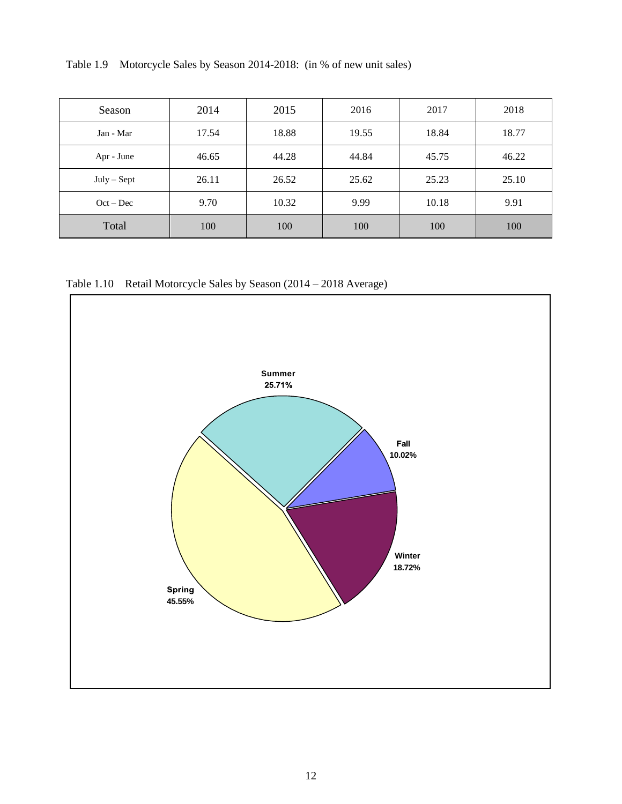<span id="page-11-0"></span>Table 1.9 Motorcycle Sales by Season 2014-2018: (in % of new unit sales)

| Season        | 2014  | 2015  | 2016  | 2017  | 2018  |
|---------------|-------|-------|-------|-------|-------|
| Jan - Mar     | 17.54 | 18.88 | 19.55 | 18.84 | 18.77 |
| Apr - June    | 46.65 | 44.28 | 44.84 | 45.75 | 46.22 |
| $July - Sept$ | 26.11 | 26.52 | 25.62 | 25.23 | 25.10 |
| $Oct - Dec$   | 9.70  | 10.32 | 9.99  | 10.18 | 9.91  |
| Total         | 100   | 100   | 100   | 100   | 100   |

Table 1.10 Retail Motorcycle Sales by Season (2014 – 2018 Average)

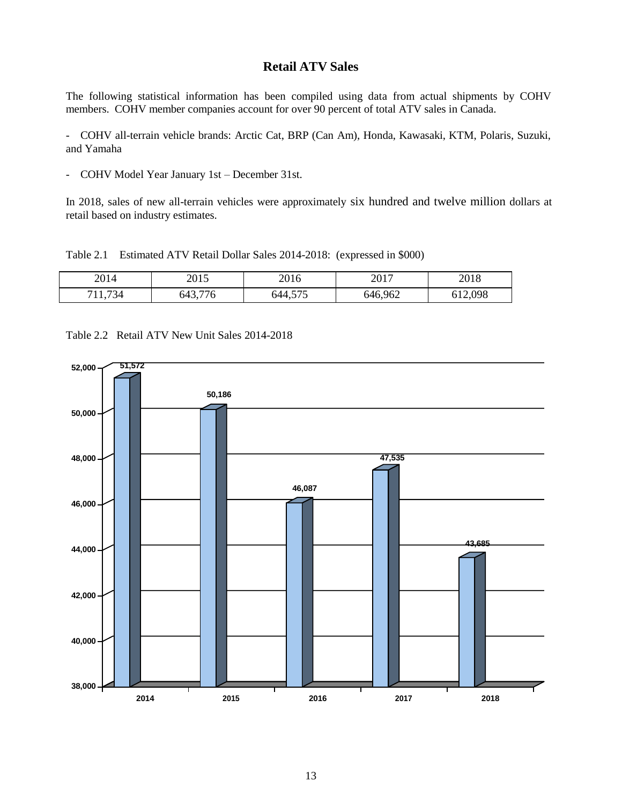### **Retail ATV Sales**

The following statistical information has been compiled using data from actual shipments by COHV members. COHV member companies account for over 90 percent of total ATV sales in Canada.

- COHV all-terrain vehicle brands: Arctic Cat, BRP (Can Am), Honda, Kawasaki, KTM, Polaris, Suzuki, and Yamaha

- COHV Model Year January 1st – December 31st.

In 2018, sales of new all-terrain vehicles were approximately six hundred and twelve million dollars at retail based on industry estimates.

<span id="page-12-0"></span>Table 2.1 Estimated ATV Retail Dollar Sales 2014-2018: (expressed in \$000)

| 2014           | 2015    | 2016    | 2017    | 2018    |
|----------------|---------|---------|---------|---------|
| 1,734<br>'11.7 | 643,776 | 644,575 | 646,962 | 612,098 |

<span id="page-12-1"></span>Table 2.2 Retail ATV New Unit Sales 2014-2018

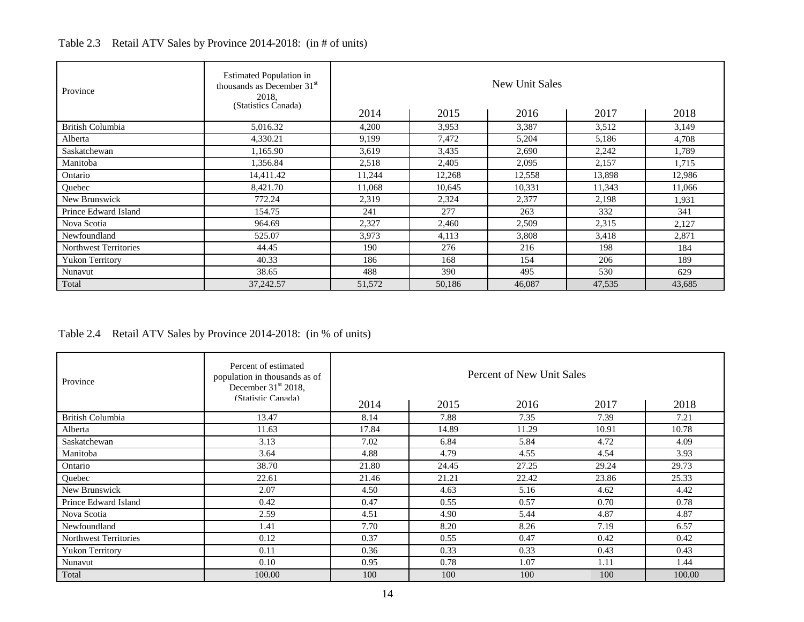| Province                     | <b>Estimated Population in</b><br>thousands as December 31 <sup>st</sup><br>2018,<br>(Statistics Canada) | New Unit Sales |        |        |        |        |  |
|------------------------------|----------------------------------------------------------------------------------------------------------|----------------|--------|--------|--------|--------|--|
|                              |                                                                                                          | 2014           | 2015   | 2016   | 2017   | 2018   |  |
| British Columbia             | 5,016.32                                                                                                 | 4,200          | 3,953  | 3,387  | 3,512  | 3,149  |  |
| Alberta                      | 4,330.21                                                                                                 | 9,199          | 7,472  | 5,204  | 5,186  | 4,708  |  |
| Saskatchewan                 | 1.165.90                                                                                                 | 3,619          | 3,435  | 2,690  | 2,242  | 1,789  |  |
| Manitoba                     | 1,356.84                                                                                                 | 2,518          | 2,405  | 2,095  | 2,157  | 1,715  |  |
| Ontario                      | 14,411.42                                                                                                | 11,244         | 12,268 | 12,558 | 13,898 | 12,986 |  |
| Quebec                       | 8,421.70                                                                                                 | 11,068         | 10.645 | 10,331 | 11,343 | 11,066 |  |
| New Brunswick                | 772.24                                                                                                   | 2,319          | 2,324  | 2,377  | 2,198  | 1,931  |  |
| Prince Edward Island         | 154.75                                                                                                   | 241            | 277    | 263    | 332    | 341    |  |
| Nova Scotia                  | 964.69                                                                                                   | 2,327          | 2,460  | 2,509  | 2,315  | 2,127  |  |
| Newfoundland                 | 525.07                                                                                                   | 3,973          | 4,113  | 3,808  | 3,418  | 2,871  |  |
| <b>Northwest Territories</b> | 44.45                                                                                                    | 190            | 276    | 216    | 198    | 184    |  |
| <b>Yukon Territory</b>       | 40.33                                                                                                    | 186            | 168    | 154    | 206    | 189    |  |
| Nunavut                      | 38.65                                                                                                    | 488            | 390    | 495    | 530    | 629    |  |
| Total                        | 37,242.57                                                                                                | 51,572         | 50.186 | 46,087 | 47,535 | 43,685 |  |

# Table 2.3 Retail ATV Sales by Province 2014-2018: (in # of units)

<span id="page-13-0"></span>Table 2.4 Retail ATV Sales by Province 2014-2018: (in % of units)

| Province                     | Percent of estimated<br>population in thousands as of<br>December 31 <sup>st</sup> 2018,<br>(Statistic Canada) | Percent of New Unit Sales |       |       |       |        |  |
|------------------------------|----------------------------------------------------------------------------------------------------------------|---------------------------|-------|-------|-------|--------|--|
|                              |                                                                                                                | 2014                      | 2015  | 2016  | 2017  | 2018   |  |
| <b>British Columbia</b>      | 13.47                                                                                                          | 8.14                      | 7.88  | 7.35  | 7.39  | 7.21   |  |
| Alberta                      | 11.63                                                                                                          | 17.84                     | 14.89 | 11.29 | 10.91 | 10.78  |  |
| Saskatchewan                 | 3.13                                                                                                           | 7.02                      | 6.84  | 5.84  | 4.72  | 4.09   |  |
| Manitoba                     | 3.64                                                                                                           | 4.88                      | 4.79  | 4.55  | 4.54  | 3.93   |  |
| Ontario                      | 38.70                                                                                                          | 21.80                     | 24.45 | 27.25 | 29.24 | 29.73  |  |
| Quebec                       | 22.61                                                                                                          | 21.46                     | 21.21 | 22.42 | 23.86 | 25.33  |  |
| New Brunswick                | 2.07                                                                                                           | 4.50                      | 4.63  | 5.16  | 4.62  | 4.42   |  |
| Prince Edward Island         | 0.42                                                                                                           | 0.47                      | 0.55  | 0.57  | 0.70  | 0.78   |  |
| Nova Scotia                  | 2.59                                                                                                           | 4.51                      | 4.90  | 5.44  | 4.87  | 4.87   |  |
| Newfoundland                 | 1.41                                                                                                           | 7.70                      | 8.20  | 8.26  | 7.19  | 6.57   |  |
| <b>Northwest Territories</b> | 0.12                                                                                                           | 0.37                      | 0.55  | 0.47  | 0.42  | 0.42   |  |
| <b>Yukon Territory</b>       | 0.11                                                                                                           | 0.36                      | 0.33  | 0.33  | 0.43  | 0.43   |  |
| Nunavut                      | 0.10                                                                                                           | 0.95                      | 0.78  | 1.07  | 1.11  | 1.44   |  |
| Total                        | 100.00                                                                                                         | 100                       | 100   | 100   | 100   | 100.00 |  |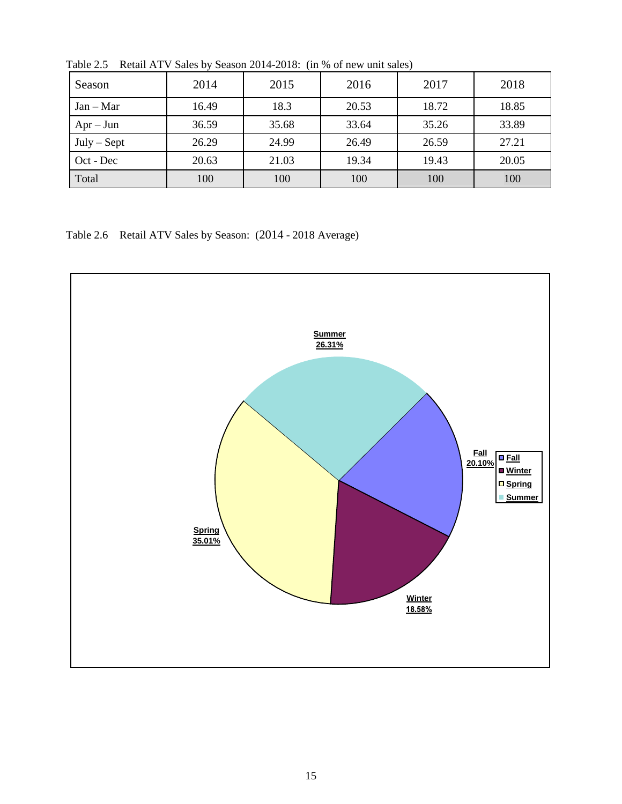| Season        | 2014  | 2015  | 2016  | 2017  | 2018  |
|---------------|-------|-------|-------|-------|-------|
| $Jan - Mar$   | 16.49 | 18.3  | 20.53 | 18.72 | 18.85 |
| $Apr - Jun$   | 36.59 | 35.68 | 33.64 | 35.26 | 33.89 |
| $July - Sept$ | 26.29 | 24.99 | 26.49 | 26.59 | 27.21 |
| Oct - Dec     | 20.63 | 21.03 | 19.34 | 19.43 | 20.05 |
| Total         | 100   | 100   | 100   | 100   | 100   |

<span id="page-14-0"></span>Table 2.5 Retail ATV Sales by Season 2014-2018: (in % of new unit sales)

Table 2.6 Retail ATV Sales by Season: (2014 - 2018 Average)

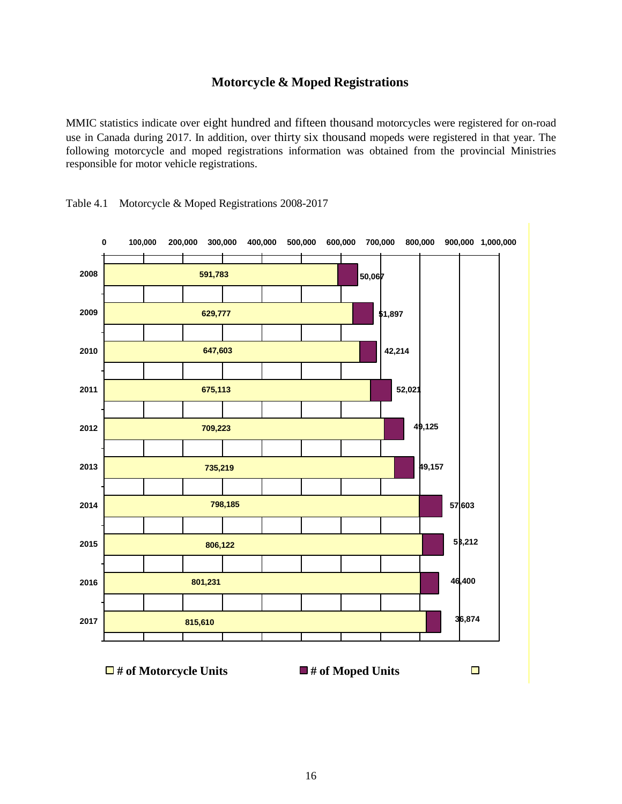# **Motorcycle & Moped Registrations**

MMIC statistics indicate over eight hundred and fifteen thousand motorcycles were registered for on-road use in Canada during 2017. In addition, over thirty six thousand mopeds were registered in that year. The following motorcycle and moped registrations information was obtained from the provincial Ministries responsible for motor vehicle registrations.



<span id="page-15-0"></span>Table 4.1 Motorcycle & Moped Registrations 2008-2017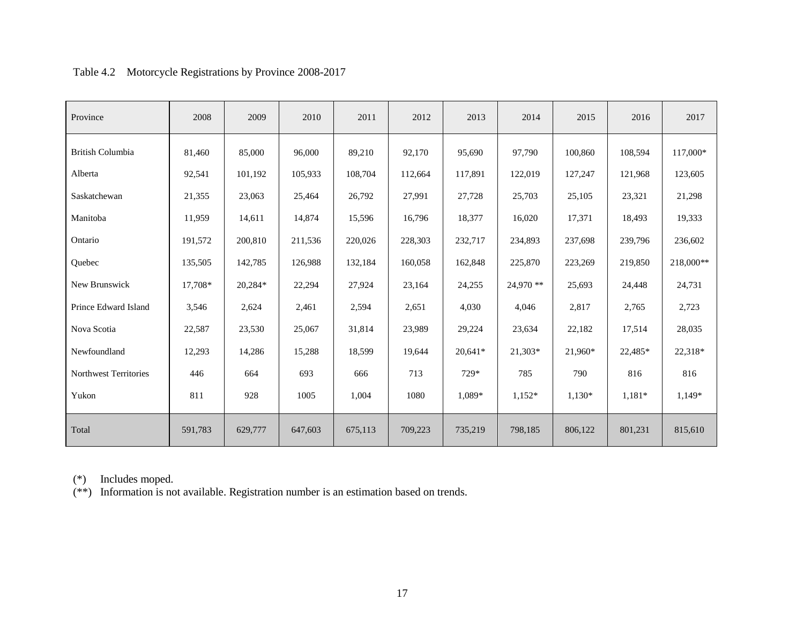<span id="page-16-0"></span>

| Province                     | 2008    | 2009    | 2010    | 2011    | 2012    | 2013      | 2014      | 2015     | 2016     | 2017      |
|------------------------------|---------|---------|---------|---------|---------|-----------|-----------|----------|----------|-----------|
| <b>British Columbia</b>      | 81,460  | 85,000  | 96,000  | 89,210  | 92,170  | 95,690    | 97,790    | 100,860  | 108,594  | 117,000*  |
| Alberta                      | 92,541  | 101,192 | 105,933 | 108,704 | 112,664 | 117,891   | 122,019   | 127,247  | 121,968  | 123,605   |
| Saskatchewan                 | 21,355  | 23,063  | 25,464  | 26,792  | 27,991  | 27,728    | 25,703    | 25,105   | 23,321   | 21,298    |
| Manitoba                     | 11,959  | 14,611  | 14,874  | 15,596  | 16,796  | 18,377    | 16,020    | 17,371   | 18,493   | 19,333    |
| Ontario                      | 191,572 | 200,810 | 211,536 | 220,026 | 228,303 | 232,717   | 234,893   | 237,698  | 239,796  | 236,602   |
| Quebec                       | 135,505 | 142,785 | 126,988 | 132,184 | 160,058 | 162,848   | 225,870   | 223,269  | 219,850  | 218,000** |
| New Brunswick                | 17,708* | 20,284* | 22,294  | 27,924  | 23,164  | 24,255    | 24,970 ** | 25,693   | 24,448   | 24,731    |
| Prince Edward Island         | 3,546   | 2,624   | 2,461   | 2,594   | 2,651   | 4,030     | 4,046     | 2,817    | 2,765    | 2,723     |
| Nova Scotia                  | 22,587  | 23,530  | 25,067  | 31,814  | 23,989  | 29,224    | 23,634    | 22,182   | 17,514   | 28,035    |
| Newfoundland                 | 12,293  | 14,286  | 15,288  | 18,599  | 19,644  | $20,641*$ | 21,303*   | 21,960*  | 22,485*  | 22,318*   |
| <b>Northwest Territories</b> | 446     | 664     | 693     | 666     | 713     | 729*      | 785       | 790      | 816      | 816       |
| Yukon                        | 811     | 928     | 1005    | 1,004   | 1080    | 1.089*    | $1,152*$  | $1,130*$ | $1,181*$ | 1,149*    |
| Total                        | 591,783 | 629,777 | 647,603 | 675,113 | 709,223 | 735,219   | 798,185   | 806,122  | 801,231  | 815,610   |

# Table 4.2 Motorcycle Registrations by Province 2008-2017

(\*) Includes moped.

(\*\*) Information is not available. Registration number is an estimation based on trends.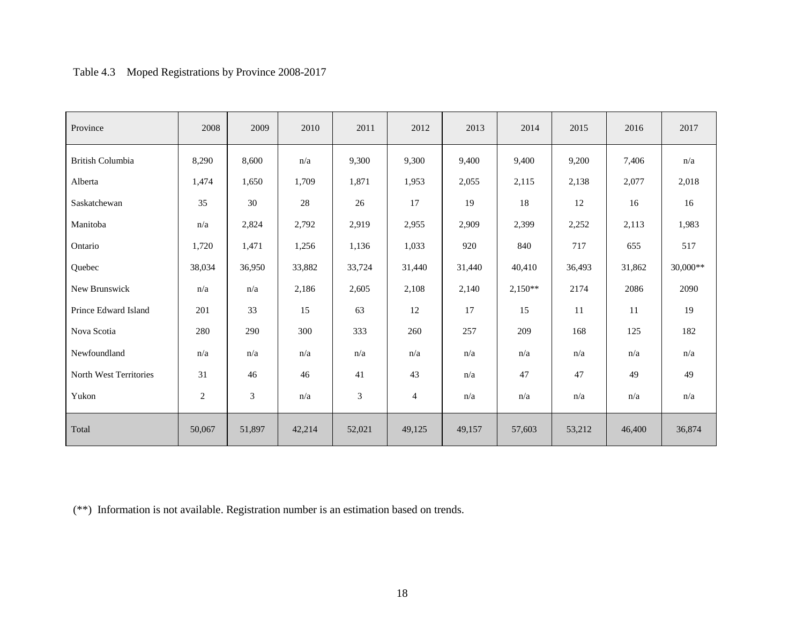# Table 4.3 Moped Registrations by Province 2008-2017

<span id="page-17-0"></span>

| Province               | 2008   | 2009   | 2010   | 2011           | 2012           | 2013   | 2014      | 2015   | 2016   | 2017     |
|------------------------|--------|--------|--------|----------------|----------------|--------|-----------|--------|--------|----------|
| British Columbia       | 8,290  | 8,600  | n/a    | 9,300          | 9,300          | 9,400  | 9,400     | 9,200  | 7,406  | n/a      |
| Alberta                | 1,474  | 1,650  | 1,709  | 1,871          | 1,953          | 2,055  | 2,115     | 2,138  | 2,077  | 2,018    |
| Saskatchewan           | 35     | 30     | 28     | 26             | 17             | 19     | 18        | 12     | 16     | 16       |
| Manitoba               | n/a    | 2,824  | 2,792  | 2,919          | 2,955          | 2,909  | 2,399     | 2,252  | 2,113  | 1,983    |
| Ontario                | 1,720  | 1,471  | 1,256  | 1,136          | 1,033          | 920    | 840       | 717    | 655    | 517      |
| Quebec                 | 38,034 | 36,950 | 33,882 | 33,724         | 31,440         | 31,440 | 40,410    | 36,493 | 31,862 | 30,000** |
| New Brunswick          | n/a    | n/a    | 2,186  | 2,605          | 2,108          | 2,140  | $2,150**$ | 2174   | 2086   | 2090     |
| Prince Edward Island   | 201    | 33     | 15     | 63             | 12             | 17     | 15        | 11     | 11     | 19       |
| Nova Scotia            | 280    | 290    | 300    | 333            | 260            | 257    | 209       | 168    | 125    | 182      |
| Newfoundland           | n/a    | n/a    | n/a    | n/a            | n/a            | n/a    | n/a       | n/a    | n/a    | n/a      |
| North West Territories | 31     | 46     | 46     | 41             | 43             | n/a    | 47        | 47     | 49     | 49       |
| Yukon                  | 2      | 3      | n/a    | $\mathfrak{Z}$ | $\overline{4}$ | n/a    | n/a       | n/a    | n/a    | n/a      |
| Total                  | 50,067 | 51,897 | 42,214 | 52,021         | 49,125         | 49,157 | 57,603    | 53,212 | 46,400 | 36,874   |

(\*\*) Information is not available. Registration number is an estimation based on trends.